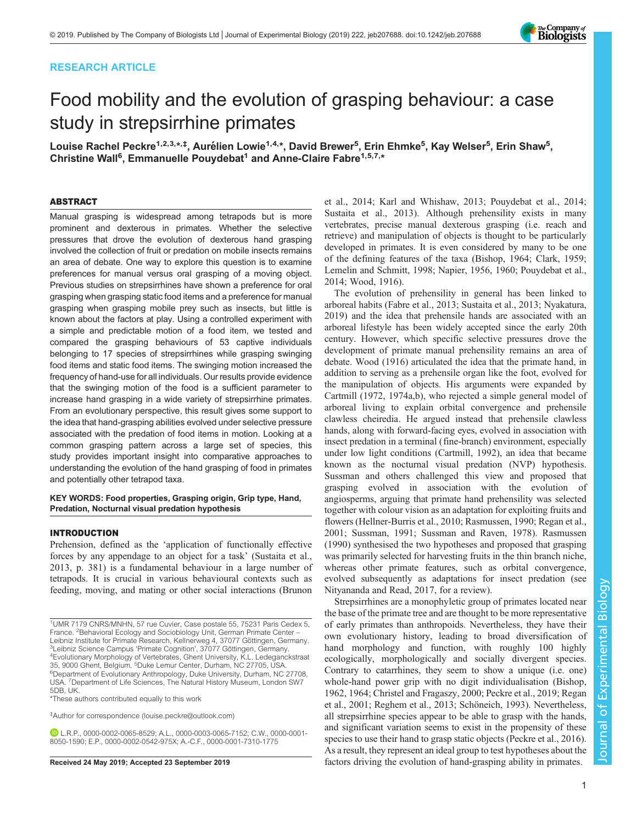## RESEARCH ARTICLE



# Food mobility and the evolution of grasping behaviour: a case study in strepsirrhine primates

Louise Rachel Peckre<sup>1,2,3,</sup>\*<sup>,‡</sup>, Aurélien Lowie<sup>1,4,</sup>\*, David Brewer<sup>5</sup>, Erin Ehmke<sup>5</sup>, Kay Welser<sup>5</sup>, Erin Shaw<sup>5</sup>, Christine Wall<sup>6</sup>, Emmanuelle Pouydebat<sup>1</sup> and Anne-Claire Fabre<sup>1,5,7,</sup>\*

#### ABSTRACT

Manual grasping is widespread among tetrapods but is more prominent and dexterous in primates. Whether the selective pressures that drove the evolution of dexterous hand grasping involved the collection of fruit or predation on mobile insects remains an area of debate. One way to explore this question is to examine preferences for manual versus oral grasping of a moving object. Previous studies on strepsirrhines have shown a preference for oral grasping when grasping static food items and a preference for manual grasping when grasping mobile prey such as insects, but little is known about the factors at play. Using a controlled experiment with a simple and predictable motion of a food item, we tested and compared the grasping behaviours of 53 captive individuals belonging to 17 species of strepsirrhines while grasping swinging food items and static food items. The swinging motion increased the frequency of hand-use for all individuals. Our results provide evidence that the swinging motion of the food is a sufficient parameter to increase hand grasping in a wide variety of strepsirrhine primates. From an evolutionary perspective, this result gives some support to the idea that hand-grasping abilities evolved under selective pressure associated with the predation of food items in motion. Looking at a common grasping pattern across a large set of species, this study provides important insight into comparative approaches to understanding the evolution of the hand grasping of food in primates and potentially other tetrapod taxa.

#### KEY WORDS: Food properties, Grasping origin, Grip type, Hand, Predation, Nocturnal visual predation hypothesis

### INTRODUCTION

Prehension, defined as the 'application of functionally effective forces by any appendage to an object for a task' [\(Sustaita et al.,](#page-9-0) [2013](#page-9-0), p. 381) is a fundamental behaviour in a large number of tetrapods. It is crucial in various behavioural contexts such as feeding, moving, and mating or other social interactions ([Brunon](#page-9-0)

[et al., 2014; Karl and Whishaw, 2013; Pouydebat et al., 2014](#page-9-0); [Sustaita et al., 2013\)](#page-9-0). Although prehensility exists in many vertebrates, precise manual dexterous grasping (i.e. reach and retrieve) and manipulation of objects is thought to be particularly developed in primates. It is even considered by many to be one of the defining features of the taxa ([Bishop, 1964; Clark, 1959](#page-9-0); [Lemelin and Schmitt, 1998; Napier, 1956](#page-9-0), [1960](#page-9-0); [Pouydebat et al.,](#page-9-0) [2014; Wood, 1916](#page-9-0)).

The evolution of prehensility in general has been linked to arboreal habits [\(Fabre et al., 2013; Sustaita et al., 2013; Nyakatura,](#page-9-0) [2019\)](#page-9-0) and the idea that prehensile hands are associated with an arboreal lifestyle has been widely accepted since the early 20th century. However, which specific selective pressures drove the development of primate manual prehensility remains an area of debate. [Wood \(1916\)](#page-9-0) articulated the idea that the primate hand, in addition to serving as a prehensile organ like the foot, evolved for the manipulation of objects. His arguments were expanded by [Cartmill \(1972](#page-9-0), [1974a,b\),](#page-9-0) who rejected a simple general model of arboreal living to explain orbital convergence and prehensile clawless cheiredia. He argued instead that prehensile clawless hands, along with forward-facing eyes, evolved in association with insect predation in a terminal (fine-branch) environment, especially under low light conditions [\(Cartmill, 1992](#page-9-0)), an idea that became known as the nocturnal visual predation (NVP) hypothesis. Sussman and others challenged this view and proposed that grasping evolved in association with the evolution of angiosperms, arguing that primate hand prehensility was selected together with colour vision as an adaptation for exploiting fruits and flowers ([Hellner-Burris et al., 2010; Rasmussen, 1990](#page-9-0); [Regan et al.,](#page-9-0) [2001; Sussman, 1991; Sussman and Raven, 1978](#page-9-0)). [Rasmussen](#page-9-0) [\(1990\)](#page-9-0) synthesised the two hypotheses and proposed that grasping was primarily selected for harvesting fruits in the thin branch niche, whereas other primate features, such as orbital convergence, evolved subsequently as adaptations for insect predation (see [Nityananda and Read, 2017,](#page-9-0) for a review).

Strepsirrhines are a monophyletic group of primates located near the base of the primate tree and are thought to be more representative of early primates than anthropoids. Nevertheless, they have their own evolutionary history, leading to broad diversification of hand morphology and function, with roughly 100 highly ecologically, morphologically and socially divergent species. Contrary to catarrhines, they seem to show a unique (i.e. one) whole-hand power grip with no digit individualisation ([Bishop,](#page-9-0) [1962, 1964](#page-9-0); [Christel and Fragaszy, 2000; Peckre et al., 2019; Regan](#page-9-0) [et al., 2001; Reghem et al., 2013](#page-9-0); [Schöneich, 1993](#page-9-0)). Nevertheless, all strepsirrhine species appear to be able to grasp with the hands, and significant variation seems to exist in the propensity of these species to use their hand to grasp static objects ([Peckre et al., 2016\)](#page-9-0). As a result, they represent an ideal group to test hypotheses about the Received 24 May 2019; Accepted 23 September 2019 factors driving the evolution of hand-grasping ability in primates.

<sup>&</sup>lt;sup>1</sup>UMR 7179 CNRS/MNHN, 57 rue Cuvier, Case postale 55, 75231 Paris Cedex 5, France. <sup>2</sup> Behavioral Ecology and Sociobiology Unit, German Primate Center -Leibniz Institute for Primate Research, Kellnerweg 4, 37077 Göttingen, Germany.<br><sup>3</sup>Leibniz Science Campus 'Primate Cognition', 37077 Göttingen, Germany.<br><sup>4</sup>Evolutionary Morphology of Vertebrates, Ghent University, K.L. Led 35, 9000 Ghent, Belgium. <sup>5</sup>Duke Lemur Center, Durham, NC 27705, USA. Department of Evolutionary Anthropology, Duke University, Durham, NC 27708, USA. <sup>7</sup> Department of Life Sciences, The Natural History Museum, London SW7 5DB, UK.

<sup>\*</sup>These authors contributed equally to this work

<sup>‡</sup> Author for correspondence ([louise.peckre@outlook.com\)](mailto:louise.peckre@outlook.com)

L.R.P., [0000-0002-0065-8529;](http://orcid.org/0000-0002-0065-8529) A.L., [0000-0003-0065-7152;](http://orcid.org/0000-0003-0065-7152) C.W., [0000-0001-](http://orcid.org/0000-0001-8050-1590) [8050-1590](http://orcid.org/0000-0001-8050-1590); E.P., [0000-0002-0542-975X;](http://orcid.org/0000-0002-0542-975X) A.-C.F., [0000-0001-7310-1775](http://orcid.org/0000-0001-7310-1775)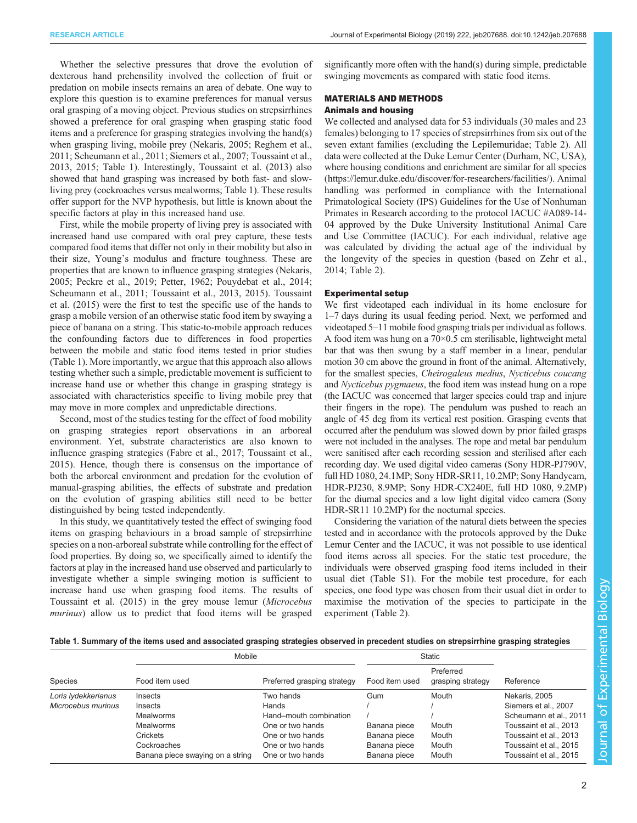<span id="page-1-0"></span>Whether the selective pressures that drove the evolution of dexterous hand prehensility involved the collection of fruit or predation on mobile insects remains an area of debate. One way to explore this question is to examine preferences for manual versus oral grasping of a moving object. Previous studies on strepsirrhines showed a preference for oral grasping when grasping static food items and a preference for grasping strategies involving the hand(s) when grasping living, mobile prey [\(Nekaris, 2005](#page-9-0); [Reghem et al.,](#page-9-0) [2011](#page-9-0); [Scheumann et al., 2011; Siemers et al., 2007; Toussaint et al.,](#page-9-0) [2013](#page-9-0), [2015](#page-9-0); Table 1). Interestingly, [Toussaint et al. \(2013\)](#page-9-0) also showed that hand grasping was increased by both fast- and slowliving prey (cockroaches versus mealworms; Table 1). These results offer support for the NVP hypothesis, but little is known about the specific factors at play in this increased hand use.

First, while the mobile property of living prey is associated with increased hand use compared with oral prey capture, these tests compared food items that differ not only in their mobility but also in their size, Young's modulus and fracture toughness. These are properties that are known to influence grasping strategies [\(Nekaris,](#page-9-0) [2005](#page-9-0); [Peckre et al., 2019](#page-9-0); [Petter, 1962; Pouydebat et al., 2014](#page-9-0); [Scheumann et al., 2011; Toussaint et al., 2013, 2015\)](#page-9-0). [Toussaint](#page-9-0) [et al. \(2015\)](#page-9-0) were the first to test the specific use of the hands to grasp a mobile version of an otherwise static food item by swaying a piece of banana on a string. This static-to-mobile approach reduces the confounding factors due to differences in food properties between the mobile and static food items tested in prior studies (Table 1). More importantly, we argue that this approach also allows testing whether such a simple, predictable movement is sufficient to increase hand use or whether this change in grasping strategy is associated with characteristics specific to living mobile prey that may move in more complex and unpredictable directions.

Second, most of the studies testing for the effect of food mobility on grasping strategies report observations in an arboreal environment. Yet, substrate characteristics are also known to influence grasping strategies ([Fabre et al., 2017](#page-9-0); [Toussaint et al.,](#page-9-0) [2015](#page-9-0)). Hence, though there is consensus on the importance of both the arboreal environment and predation for the evolution of manual-grasping abilities, the effects of substrate and predation on the evolution of grasping abilities still need to be better distinguished by being tested independently.

In this study, we quantitatively tested the effect of swinging food items on grasping behaviours in a broad sample of strepsirrhine species on a non-arboreal substrate while controlling for the effect of food properties. By doing so, we specifically aimed to identify the factors at play in the increased hand use observed and particularly to investigate whether a simple swinging motion is sufficient to increase hand use when grasping food items. The results of [Toussaint et al. \(2015\)](#page-9-0) in the grey mouse lemur (Microcebus murinus) allow us to predict that food items will be grasped

significantly more often with the hand(s) during simple, predictable swinging movements as compared with static food items.

# MATERIALS AND METHODS

## Animals and housing

We collected and analysed data for 53 individuals (30 males and 23 females) belonging to 17 species of strepsirrhines from six out of the seven extant families (excluding the Lepilemuridae; [Table 2](#page-2-0)). All data were collected at the Duke Lemur Center (Durham, NC, USA), where housing conditions and enrichment are similar for all species [\(https://lemur.duke.edu/discover/for-researchers/facilities/](https://lemur.duke.edu/discover/for-researchers/facilities/)). Animal handling was performed in compliance with the International Primatological Society (IPS) Guidelines for the Use of Nonhuman Primates in Research according to the protocol IACUC #A089-14- 04 approved by the Duke University Institutional Animal Care and Use Committee (IACUC). For each individual, relative age was calculated by dividing the actual age of the individual by the longevity of the species in question (based on [Zehr et al.,](#page-9-0) [2014;](#page-9-0) [Table 2\)](#page-2-0).

## Experimental setup

We first videotaped each individual in its home enclosure for 1–7 days during its usual feeding period. Next, we performed and videotaped 5–11 mobile food grasping trials per individual as follows. A food item was hung on a 70×0.5 cm sterilisable, lightweight metal bar that was then swung by a staff member in a linear, pendular motion 30 cm above the ground in front of the animal. Alternatively, for the smallest species, Cheirogaleus medius, Nycticebus coucang and Nycticebus pygmaeus, the food item was instead hung on a rope (the IACUC was concerned that larger species could trap and injure their fingers in the rope). The pendulum was pushed to reach an angle of 45 deg from its vertical rest position. Grasping events that occurred after the pendulum was slowed down by prior failed grasps were not included in the analyses. The rope and metal bar pendulum were sanitised after each recording session and sterilised after each recording day. We used digital video cameras (Sony HDR-PJ790V, full HD 1080, 24.1MP; Sony HDR-SR11, 10.2MP; Sony Handycam, HDR-PJ230, 8.9MP; Sony HDR-CX240E, full HD 1080, 9.2MP) for the diurnal species and a low light digital video camera (Sony HDR-SR11 10.2MP) for the nocturnal species.

Considering the variation of the natural diets between the species tested and in accordance with the protocols approved by the Duke Lemur Center and the IACUC, it was not possible to use identical food items across all species. For the static test procedure, the individuals were observed grasping food items included in their usual diet ([Table S1\)](http://jeb.biologists.org/lookup/doi/10.1242/jeb.207688.supplemental). For the mobile test procedure, for each species, one food type was chosen from their usual diet in order to maximise the motivation of the species to participate in the experiment [\(Table 2\)](#page-2-0).

#### Table 1. Summary of the items used and associated grasping strategies observed in precedent studies on strepsirrhine grasping strategies

|                     | Mobile                           |                             |                | <b>Static</b>                  |                        |
|---------------------|----------------------------------|-----------------------------|----------------|--------------------------------|------------------------|
| <b>Species</b>      | Food item used                   | Preferred grasping strategy | Food item used | Preferred<br>grasping strategy | Reference              |
| Loris lydekkerianus | Insects                          | Two hands                   | Gum            | Mouth                          | Nekaris, 2005          |
| Microcebus murinus  | Insects                          | Hands                       |                |                                | Siemers et al., 2007   |
|                     | <b>Mealworms</b>                 | Hand-mouth combination      |                |                                | Scheumann et al., 2011 |
|                     | <b>Mealworms</b>                 | One or two hands            | Banana piece   | Mouth                          | Toussaint et al., 2013 |
|                     | Crickets                         | One or two hands            | Banana piece   | Mouth                          | Toussaint et al., 2013 |
|                     | Cockroaches                      | One or two hands            | Banana piece   | Mouth                          | Toussaint et al., 2015 |
|                     | Banana piece swaying on a string | One or two hands            | Banana piece   | Mouth                          | Toussaint et al., 2015 |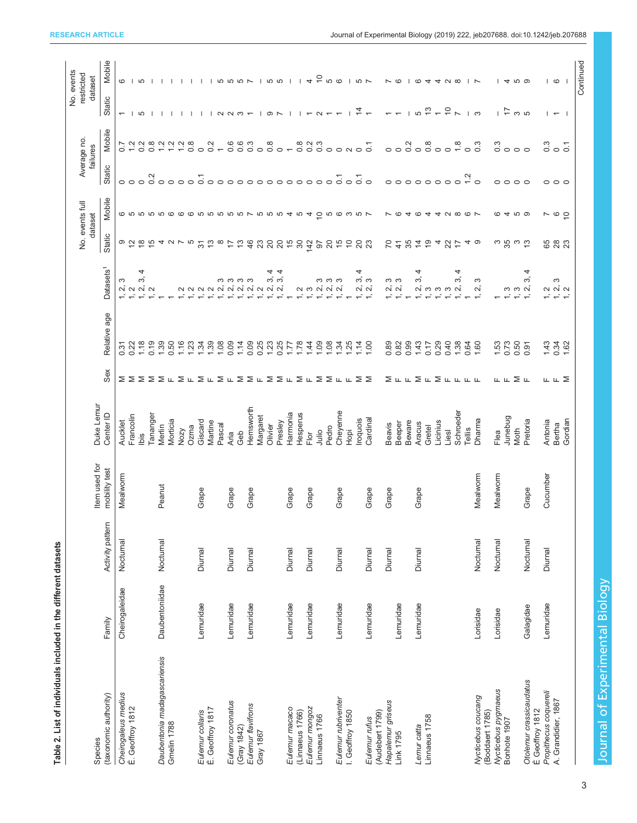<span id="page-2-0"></span>

|                                              |                |                  |               |                        |                        |                |                                         |                     |                            |                                 |                             |                          | No. events    |
|----------------------------------------------|----------------|------------------|---------------|------------------------|------------------------|----------------|-----------------------------------------|---------------------|----------------------------|---------------------------------|-----------------------------|--------------------------|---------------|
| Species                                      |                |                  | Item used for | Duke Lemur             |                        |                |                                         |                     | No. events full<br>dataset |                                 | Average no.<br>failures     | restricted               | dataset       |
| (taxonomic authority)                        | Family         | Activity pattern | mobility test | Center ID              | Sex                    | Relative age   | Datasets <sup>1</sup>                   | Static              | Mobile                     | Static                          | Mobile                      | Static                   | Mobile        |
| Cheirogaleus medius                          | Cheirogaleidae | Nocturnal        | Mealworm      | Aucklet                |                        | 0.31           | S<br>2,                                 | $\frac{1}{2}$       | c ro                       |                                 | $\overline{0}$ .            | $\overline{\phantom{0}}$ | $\circ$       |
| É. Geoffroy 1812                             |                |                  |               | Francolin              | $\Sigma \Sigma$        | 0.22           | $\sim$ $\sim$                           |                     |                            | $\circ$ $\circ$ $\circ$         | $\frac{2}{1}$ 2             |                          |               |
|                                              |                |                  |               | lbis                   |                        | 1.18           | 4<br>က်                                 | $\frac{\infty}{2}$  |                            |                                 |                             |                          |               |
|                                              | Daubentoniidae |                  |               | <b>Tananger</b>        | Σ<br>Σ                 | 0.19<br>1.39   | $\sim$                                  | $\frac{5}{3}$<br>4  | $\Omega$<br>LO             | 0.2<br>$\circ$                  | $0.\overline{8}$<br>1.2     |                          |               |
| Daubentonia madagascariensis<br>Gmelin 1788  |                | Nocturnal        | Peanut        | Morticia<br>Merlin     | Щ.                     | 0.50           |                                         | $\sim$              | G                          | $\circ$                         | $\frac{1}{2}$               |                          |               |
|                                              |                |                  |               | Nozy                   | Σ                      | 1.16           |                                         | $\overline{ }$      | G                          | $\circ$                         | $\frac{1}{2}$               |                          |               |
|                                              |                |                  |               | Ozma                   | Щ                      | 1.23           | $\sim$ $\sim$                           | 5                   | G                          | $\circ$                         | $0.\overline{8}$            |                          |               |
| Eulemur collaris                             | Lemuridae      | Diumal           | Grape         | Giscard                | Σщ                     | 1.34           |                                         | $\overline{3}$      | 5 R                        | $\overline{c}$                  | $\circ$                     |                          |               |
| É. Geoffroy 1817                             |                |                  |               | Martine                |                        | 1.39           | $N$ $N$ $N$                             | $\frac{3}{2}$       | 5                          | $\circ$<br>$\circ$              | 0.2<br>$\overline{ }$       |                          |               |
|                                              |                |                  |               | Pascal                 | Σ                      | 1.08           | S                                       | $\infty$            |                            |                                 |                             |                          | LO            |
| Eulemur coronatus<br>(Gray 1842)             | Lemuridae      | Diurnal          | Grape         | Geb<br>Aria            | Σ<br>Щ                 | 0.09<br>1.14   | S<br>$\sim$<br>$\overline{\mathcal{N}}$ | $\frac{3}{2}$<br>17 | 5<br>ပ                     | $\circ$<br>$\circ$              | $0.\overline{6}$<br>0.6     | ო                        | ഹ             |
| Eulemur flavifrons                           | Lemuridae      | Diumal           | Grape         | Hemsworth              | Σ                      | 0.09           | ო ო<br>$\sim$                           | 46                  |                            |                                 | $0.\overline{3}$            |                          |               |
| Gray 1867                                    |                |                  |               | Margaret               | Щ                      | 0.25           |                                         | 23                  | S                          | $\circ \circ \circ \circ \circ$ | $\circ$                     |                          |               |
|                                              |                |                  |               | Olivier                |                        | 1.23           | 4<br>$\sim \tilde{\sim}$                | $\overline{20}$     | 5                          |                                 | $0.\overline{8}$            | $\sigma$                 | LO            |
|                                              |                |                  |               | Presley                | $\geq$                 | 0.25           | ₹<br>က်က်<br>$\sim$                     | $\overline{20}$     | 5                          |                                 | $\circ$                     |                          | S             |
| Eulemur macaco                               | Lemuridae      | Diumal           | Grape         | Harmonia               | $\mathsf{L}\mathsf{L}$ | 1.77           |                                         | $\frac{5}{3}$       | 4                          |                                 | $\overline{\phantom{0}}$    |                          |               |
| (Linnaeus 1766)                              |                |                  |               | Hesperus               | Σ                      | 1.78           | $\sim$ $\sim$                           | $\infty$            | 5                          | $\circ$                         | $0.\overline{8}$            |                          |               |
| Eulemur mongoz                               | Lemuridae      | Diumal           | Grape         | $rac{\overline{p}}{p}$ | Щ.                     | 1.44           |                                         | 142                 | 4                          | $\circ$                         | 0.2                         |                          |               |
| Linnaeus 1766                                |                |                  |               | Julio                  | $\geq$                 | 1.09           | ო ო<br>$\overline{\mathsf{N}}$          | $\overline{9}$      | $\subseteq$                | $\circ$                         | $0.\overline{3}$            |                          | $\frac{0}{1}$ |
|                                              |                |                  |               | Pedro                  | Σ                      | 1.08           | 2,                                      | $\overline{20}$     | 5                          | $\circ$                         | $\circ$ $\circ$             |                          | 5             |
| Eulemur rubriventer                          | Lemuridae      | Diumal           | Grape         | Cheyenne               | ட்ட                    | 1.34           | ന<br>$\sim$                             | $\frac{5}{3}$       | G                          | $\overline{O}$                  |                             |                          | $\circ$       |
| I. Geoffroy 1850                             |                |                  |               | Hopi<br>H              |                        | 1.25           |                                         | $\widetilde{C}$     | ო                          | $\circ$                         | $\sim$                      |                          |               |
|                                              |                |                  |               | Iroquois               | Σ                      | 1.14           | 4<br>ယ္ ယ<br>2.                         | $\overline{20}$     | 5                          | $\overline{C}$                  | $\circ$                     | 4                        | 5             |
| Eulemur rufus                                | Lemuridae      | Diumal           | Grape         | Cardinal               | Σ                      | 1.00           | $\sim$                                  | 23                  |                            | $\circ$                         | $\overline{C}$              |                          |               |
| (Audebert 1799)                              |                |                  |               |                        |                        |                |                                         |                     |                            |                                 |                             |                          |               |
| Hapalemur griseus<br>Link 1795               |                | Diumal           | Grape         | <b>Beavis</b>          | ∑ ட                    | 0.89<br>0.82   | ო ო<br>2.<br>$\overline{\mathcal{L}}$   | 74                  |                            | $\circ$<br>$\circ$              | $\circ$                     |                          |               |
|                                              | Lemuridae      |                  |               | Beeper                 | ட                      | 0.99           |                                         | 35                  | G                          | $\circ$                         | 0.2<br>$\circ$              |                          | $\circ$       |
| Lemur catta                                  | Lemuridae      | Diumal           | Grape         | Beware<br>Aracus       | Σ                      | 1.43           | 4<br>ຕົ<br>2.                           | $\overline{4}$      | G                          | $\circ$                         | $\circ$                     | 5                        |               |
| Linnaeus 1758                                |                |                  |               | Gretel                 | Щ                      | 0.17           | $\infty$                                | $\frac{6}{5}$       | $\overline{4}$             | $\circ$                         | $0.\overline{8}$            | ౖ                        |               |
|                                              |                |                  |               | Licinius               | Σ                      | 0.29           | S                                       | 4                   | 4                          | $\circ$                         | $\circ$                     |                          | 4             |
|                                              |                |                  |               | Liesl                  | Щ.                     | 0.40           | $\infty$                                | 22                  | $\sim$                     | $\circ$                         | $\circ$                     | $\overline{C}$           | $\sim$        |
|                                              |                |                  |               | Schroeder              | ш.                     | 1.38           | 4<br>က်<br>$\sim$                       | 17                  | $\infty$                   | $\circ$                         | $\frac{8}{1}$               |                          |               |
|                                              |                |                  |               | Tellis                 | ட்ட                    | 0.64           |                                         | 4                   | G                          | $\frac{2}{1}$                   | $\circ$                     |                          |               |
| Nycticebus coucang<br>(Boddaert 1785)        | Lorisidae      | Nocturnal        | Mealworm      | Dharma                 |                        | 1.60           | S<br>$\sim$                             | တ                   | $\overline{ }$             | $\circ$                         | $\overline{0}$ .3           | ന                        |               |
|                                              | Lorisidae      | Noctumal         | Mealworm      | Flea                   |                        |                |                                         | S                   | ဖ                          | $\circ$                         | $0.\overline{3}$            |                          |               |
| Nycticebus pygmaeus<br>Bonhote 1907          |                |                  |               | Junebug                | <u> ய</u>              | $1.53$<br>0.73 | S                                       | 35                  | 4                          | $\circ$                         | $\circ$                     | 17                       |               |
|                                              |                |                  |               | Moth                   | ∑ ⊥                    | 0.50           | $\infty$                                | S                   | տ ၈                        | $\circ$                         | $\circ$                     |                          | မှာ တ         |
| Otolemur crassicaudatus                      | Galagidae      | Nocturnal        | Grape         | Pretoria               |                        | 0.91           | 4<br>က်<br>$\sim$                       | $\frac{3}{2}$       |                            | $\circ$                         | $\circ$                     | ო in                     |               |
| É Geoffroy 1812                              |                | Diumal           |               |                        |                        |                |                                         |                     |                            |                                 |                             |                          |               |
| Propithecus coquereli<br>A. Grandidier, 1867 | Lemuridae      |                  | Cucumber      | Antonia<br>Bertha      | டடΣ                    | 1.43           | S<br>$\sim$                             | 65                  | $\overline{\phantom{0}}$   | $\circ \circ \circ$             | $0.\overline{3}$<br>$\circ$ | $\overline{\phantom{0}}$ | $\circ$       |
|                                              |                |                  |               | Gordian                |                        | 0.34<br>1.62   | $\sim$ $\sim$                           | <b>28</b><br>23     | $\circ$ 0                  |                                 | $\overline{C}$              |                          |               |
|                                              |                |                  |               |                        |                        |                |                                         |                     |                            |                                 |                             |                          | Continued     |

Table 2. List of individuals included in the different datasets

Table 2. List of individuals included in the different datasets

Journal of Experimental Biology Journal of Experimental Biology

3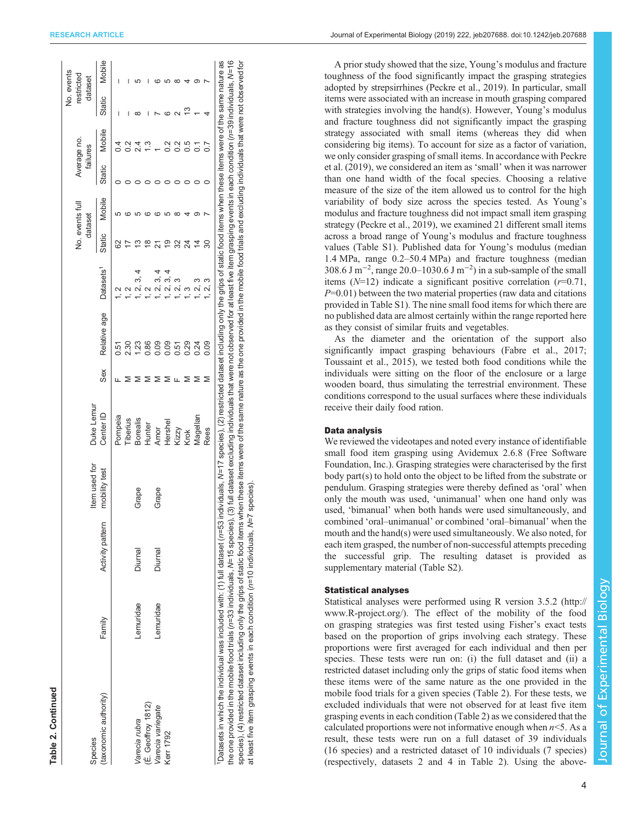|                                                                                                                                                                                                                                                                                                                                                                                                                                                       |           |                  |               |                 |     |                |                       |                            |        |                         |        |            | No. events |
|-------------------------------------------------------------------------------------------------------------------------------------------------------------------------------------------------------------------------------------------------------------------------------------------------------------------------------------------------------------------------------------------------------------------------------------------------------|-----------|------------------|---------------|-----------------|-----|----------------|-----------------------|----------------------------|--------|-------------------------|--------|------------|------------|
| Species                                                                                                                                                                                                                                                                                                                                                                                                                                               |           |                  | Item used for | Duke Lemur      |     |                |                       | No. events full<br>dataset |        | Average no.<br>failures |        | restricted | dataset    |
| (taxonomic authority)                                                                                                                                                                                                                                                                                                                                                                                                                                 | Family    | Activity pattern | mobility test | Center ID       | Sex | Relative age   | Datasets <sup>1</sup> | Static                     | Mobile | Static                  | Mobile | Static     | Mobile     |
|                                                                                                                                                                                                                                                                                                                                                                                                                                                       |           |                  |               | Pompeia         |     | 51             |                       | 62                         |        |                         |        |            |            |
|                                                                                                                                                                                                                                                                                                                                                                                                                                                       |           |                  |               | iberius         |     | 2.30           |                       |                            |        |                         |        |            |            |
| Varecia rubra                                                                                                                                                                                                                                                                                                                                                                                                                                         | Lemuridae | Diumal           | Grape         | <b>Borealis</b> |     | $\frac{23}{2}$ |                       |                            |        |                         |        |            |            |
| (É. Geoffroy 1812)                                                                                                                                                                                                                                                                                                                                                                                                                                    |           |                  |               | Hunter          |     | 0.86           |                       |                            |        |                         |        |            |            |
| Varecia variegate                                                                                                                                                                                                                                                                                                                                                                                                                                     | Lemuridae | Diumal           | Grape         | Amor            |     | 0.09           | ઝ.<br>ર               |                            |        |                         |        |            |            |
| Kerr 1792                                                                                                                                                                                                                                                                                                                                                                                                                                             |           |                  |               | Hershel         |     | 0.09           | 2, 3,                 | ഇ                          |        |                         | r<br>C |            |            |
|                                                                                                                                                                                                                                                                                                                                                                                                                                                       |           |                  |               | Kizzy           |     | 0.51           | I, 2, 3               | 32                         |        |                         |        |            |            |
|                                                                                                                                                                                                                                                                                                                                                                                                                                                       |           |                  |               | Krok            |     | 0.29           | ო<br>.                | 24                         |        |                         |        | ≌          |            |
|                                                                                                                                                                                                                                                                                                                                                                                                                                                       |           |                  |               | Magellan        |     | 0.24           | l, 2, 3               | 互                          |        |                         |        |            |            |
|                                                                                                                                                                                                                                                                                                                                                                                                                                                       |           |                  |               | <b>Rees</b>     |     | 0.09           | 1, 2, 3               |                            |        |                         |        |            |            |
| Datasets in which the individual was included with: (1) full dataset (n=53 individuals, N=17 species), (2) restricted dataset including only the grips of static food items when these items were of the same nature as<br>the one provided in the mobile food trials (n=33 individuals, N=15 species), (3) full dataset excluding individuals hat were not observed for at least five item grasping events in each condition (n=39 individuals. N=16 |           |                  |               |                 |     |                |                       |                            |        |                         |        |            |            |
| species), (4) restricted dataset including only the grips of static food items when these items were of the same nature as the one provided in the mobile food trials and excluding individuals that were not observed for                                                                                                                                                                                                                            |           |                  |               |                 |     |                |                       |                            |        |                         |        |            |            |

at least five item grasping events in each condition (n=10 individuals, N=7 species).

at least five item grasping events in each condition (n=10 individuals, N=7 species)

Table 2. Continued

Table 2. Continued

RESEARCH ARTICLE **ARTICLE** ARTICLE ARTICLE **Journal of Experimental Biology (2019) 222, jeb207688. doi:10.1242/jeb.207688** 

A prior study showed that the size, Young 's modulus and fracture toughness of the food significantly impact the grasping strategies adopted by strepsirrhines ([Peckre et al., 2019\)](#page-9-0). In particular, small items were associated with an increase in mouth grasping compared with strategies involving the hand(s). However, Young 's modulus and fracture toughness did not significantly impact the grasping strategy associated with small items (whereas they did when considering big items). To account for size as a factor of variation, we only consider grasping of small items. In accordance with [Peckre](#page-9-0) [et al. \(2019\),](#page-9-0) we considered an item as 'small ' when it was narrower than one hand width of the focal species. Choosing a relative measure of the size of the item allowed us to control for the high variability of body size across the species tested. As Young's modulus and fracture toughness did not impact small item grasping strategy [\(Peckre et al., 2019\)](#page-9-0), we examined 21 different small items across a broad range of Young 's modulus and fracture toughness values ([Table S1\)](http://jeb.biologists.org/lookup/doi/10.1242/jeb.207688.supplemental). Published data for Young 's modulus (median 1.4 MPa, range 0.2 –50.4 MPa) and fracture toughness (median 308.6 J m<sup>-2</sup>, range 20.0–1030.6 J m<sup>-2</sup>) in a sub-sample of the small items  $(N=12)$  indicate a significant positive correlation  $(r=0.71,$  $P=0.01$ ) between the two material properties (raw data and citations provided in [Table S1](http://jeb.biologists.org/lookup/doi/10.1242/jeb.207688.supplemental)). The nine small food items for which there are no published data are almost certainly within the range reported here as they consist of similar fruits and vegetables.

As the diameter and the orientation of the support also significantly impact grasping behaviours [\(Fabre et al., 2017](#page-9-0); [Toussaint et al., 2015](#page-9-0)), we tested both food conditions while the individuals were sitting on the floor of the enclosure or a large wooden board, thus simulating the terrestrial environment. These conditions correspond to the usual surfaces where these individuals receive their daily food ration.

## Data analysis

We reviewed the videotapes and noted every instance of identifiable small food item grasping using Avidemux 2.6.8 (Free Software Foundation, Inc.). Grasping strategies were characterised by the first body part(s) to hold onto the object to be lifted from the substrate or pendulum. Grasping strategies were thereby defined as 'oral ' when only the mouth was used, 'unimanual ' when one hand only was used, 'bimanual ' when both hands were used simultaneously, and combined 'oral –unimanual ' or combined 'oral –bimanual ' when the mouth and the hand(s) were used simultaneously. We also noted, for each item grasped, the number of non-successful attempts preceding the successful grip. The resulting dataset is provided as supplementary material [\(Table S2](http://jeb.biologists.org/lookup/doi/10.1242/jeb.207688.supplemental)).

## Statistical analyses

Statistical analyses were performed using R version 3.5.2 ([http://](http://www.R-project.org/) [www.R-project.org/](http://www.R-project.org/)). The effect of the mobility of the food on grasping strategies was first tested using Fisher 's exact tests based on the proportion of grips involving each strategy. These proportions were first averaged for each individual and then per species. These tests were run on: (i) the full dataset and (ii) a restricted dataset including only the grips of static food items when these items were of the same nature as the one provided in the mobile food trials for a given species ([Table 2](#page-2-0)). For these tests, we excluded individuals that were not observed for at least five item grasping events in each condition ([Table 2\)](#page-2-0) as we considered that the calculated proportions were not informative enough when  $n \leq 5$ . As a result, these tests were run on a full dataset of 39 individuals (16 species) and a restricted dataset of 10 individuals (7 species) (respectively, datasets 2 and 4 in [Table 2\)](#page-2-0). Using the above-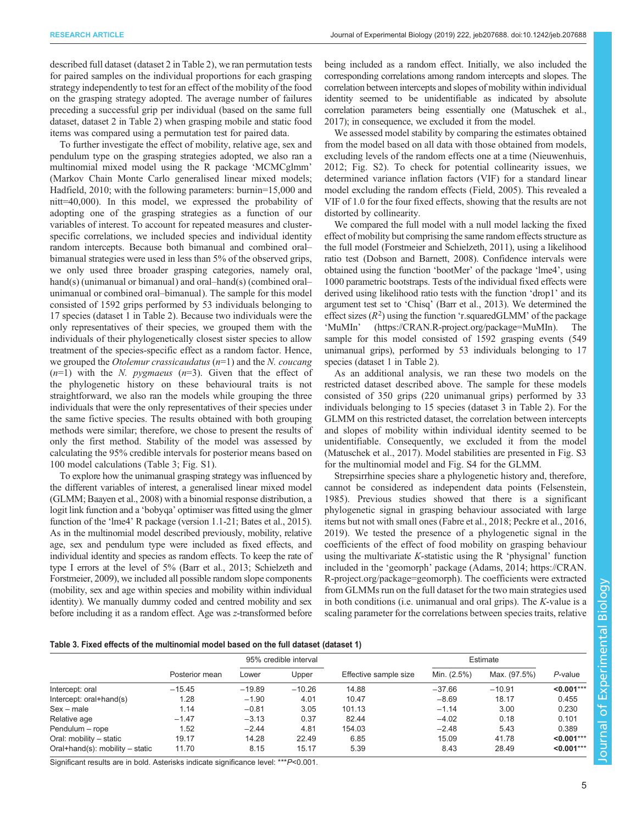<span id="page-4-0"></span>described full dataset (dataset 2 in [Table 2](#page-2-0)), we ran permutation tests for paired samples on the individual proportions for each grasping strategy independently to test for an effect of the mobility of the food on the grasping strategy adopted. The average number of failures preceding a successful grip per individual (based on the same full dataset, dataset 2 in [Table 2\)](#page-2-0) when grasping mobile and static food items was compared using a permutation test for paired data.

To further investigate the effect of mobility, relative age, sex and pendulum type on the grasping strategies adopted, we also ran a multinomial mixed model using the R package 'MCMCglmm' (Markov Chain Monte Carlo generalised linear mixed models; [Hadfield, 2010;](#page-9-0) with the following parameters: burnin=15,000 and nitt=40,000). In this model, we expressed the probability of adopting one of the grasping strategies as a function of our variables of interest. To account for repeated measures and clusterspecific correlations, we included species and individual identity random intercepts. Because both bimanual and combined oral– bimanual strategies were used in less than 5% of the observed grips, we only used three broader grasping categories, namely oral, hand(s) (unimanual or bimanual) and oral–hand(s) (combined oral– unimanual or combined oral–bimanual). The sample for this model consisted of 1592 grips performed by 53 individuals belonging to 17 species (dataset 1 in [Table 2\)](#page-2-0). Because two individuals were the only representatives of their species, we grouped them with the individuals of their phylogenetically closest sister species to allow treatment of the species-specific effect as a random factor. Hence, we grouped the *Otolemur crassicaudatus*  $(n=1)$  and the *N. coucang*  $(n=1)$  with the *N. pygmaeus*  $(n=3)$ . Given that the effect of the phylogenetic history on these behavioural traits is not straightforward, we also ran the models while grouping the three individuals that were the only representatives of their species under the same fictive species. The results obtained with both grouping methods were similar; therefore, we chose to present the results of only the first method. Stability of the model was assessed by calculating the 95% credible intervals for posterior means based on 100 model calculations (Table 3; [Fig. S1](http://jeb.biologists.org/lookup/doi/10.1242/jeb.207688.supplemental)).

To explore how the unimanual grasping strategy was influenced by the different variables of interest, a generalised linear mixed model (GLMM; [Baayen et al., 2008](#page-8-0)) with a binomial response distribution, a logit link function and a 'bobyqa' optimiser was fitted using the glmer function of the 'lme4' R package (version 1.1-21; [Bates et al., 2015\)](#page-8-0). As in the multinomial model described previously, mobility, relative age, sex and pendulum type were included as fixed effects, and individual identity and species as random effects. To keep the rate of type I errors at the level of 5% ([Barr et al., 2013;](#page-8-0) [Schielzeth and](#page-9-0) [Forstmeier, 2009](#page-9-0)), we included all possible random slope components (mobility, sex and age within species and mobility within individual identity). We manually dummy coded and centred mobility and sex before including it as a random effect. Age was z-transformed before

being included as a random effect. Initially, we also included the corresponding correlations among random intercepts and slopes. The correlation between intercepts and slopes of mobility within individual identity seemed to be unidentifiable as indicated by absolute correlation parameters being essentially one ([Matuschek et al.,](#page-9-0) [2017](#page-9-0)); in consequence, we excluded it from the model.

We assessed model stability by comparing the estimates obtained from the model based on all data with those obtained from models, excluding levels of the random effects one at a time ([Nieuwenhuis,](#page-9-0) [2012;](#page-9-0) [Fig. S2\)](http://jeb.biologists.org/lookup/doi/10.1242/jeb.207688.supplemental). To check for potential collinearity issues, we determined variance inflation factors (VIF) for a standard linear model excluding the random effects ([Field, 2005\)](#page-9-0). This revealed a VIF of 1.0 for the four fixed effects, showing that the results are not distorted by collinearity.

We compared the full model with a null model lacking the fixed effect of mobility but comprising the same random effects structure as the full model ([Forstmeier and Schielzeth, 2011](#page-9-0)), using a likelihood ratio test [\(Dobson and Barnett, 2008](#page-9-0)). Confidence intervals were obtained using the function 'bootMer' of the package 'lme4', using 1000 parametric bootstraps. Tests of the individual fixed effects were derived using likelihood ratio tests with the function 'drop1' and its argument test set to 'Chisq' ([Barr et al., 2013](#page-8-0)). We determined the effect sizes  $(R^2)$  using the function 'r.squaredGLMM' of the package 'MuMIn' (<https://CRAN.R-project.org/package=MuMIn>). The sample for this model consisted of 1592 grasping events (549 unimanual grips), performed by 53 individuals belonging to 17 species (dataset 1 in [Table 2](#page-2-0)).

As an additional analysis, we ran these two models on the restricted dataset described above. The sample for these models consisted of 350 grips (220 unimanual grips) performed by 33 individuals belonging to 15 species (dataset 3 in [Table 2](#page-2-0)). For the GLMM on this restricted dataset, the correlation between intercepts and slopes of mobility within individual identity seemed to be unidentifiable. Consequently, we excluded it from the model [\(Matuschek et al., 2017\)](#page-9-0). Model stabilities are presented in [Fig. S3](http://jeb.biologists.org/lookup/doi/10.1242/jeb.207688.supplemental) for the multinomial model and [Fig. S4](http://jeb.biologists.org/lookup/doi/10.1242/jeb.207688.supplemental) for the GLMM.

Strepsirrhine species share a phylogenetic history and, therefore, cannot be considered as independent data points ([Felsenstein,](#page-9-0) [1985\)](#page-9-0). Previous studies showed that there is a significant phylogenetic signal in grasping behaviour associated with large items but not with small ones [\(Fabre et al., 2018](#page-9-0); [Peckre et al., 2016,](#page-9-0) [2019\)](#page-9-0). We tested the presence of a phylogenetic signal in the coefficients of the effect of food mobility on grasping behaviour using the multivariate  $K$ -statistic using the  $R$  'physignal' function included in the 'geomorph' package [\(Adams, 2014;](#page-8-0) [https://CRAN.](https://CRAN.R-project.org/package=geomorph) [R-project.org/package=geomorph](https://CRAN.R-project.org/package=geomorph)). The coefficients were extracted from GLMMs run on the full dataset for the two main strategies used in both conditions (i.e. unimanual and oral grips). The K-value is a scaling parameter for the correlations between species traits, relative

| Table 3. Fixed effects of the multinomial model based on the full dataset (dataset 1) |  |  |  |  |  |
|---------------------------------------------------------------------------------------|--|--|--|--|--|
|---------------------------------------------------------------------------------------|--|--|--|--|--|

|                                 |                |          | 95% credible interval |                       |             | Estimate     |              |
|---------------------------------|----------------|----------|-----------------------|-----------------------|-------------|--------------|--------------|
|                                 | Posterior mean | Lower    | Upper                 | Effective sample size | Min. (2.5%) | Max. (97.5%) | P-value      |
| Intercept: oral                 | $-15.45$       | $-19.89$ | $-10.26$              | 14.88                 | $-37.66$    | $-10.91$     | $< 0.001***$ |
| Intercept: oral+hand(s)         | 1.28           | $-1.90$  | 4.01                  | 10.47                 | $-8.69$     | 18.17        | 0.455        |
| $Sex - male$                    | 1.14           | $-0.81$  | 3.05                  | 101.13                | $-1.14$     | 3.00         | 0.230        |
| Relative age                    | $-1.47$        | $-3.13$  | 0.37                  | 82.44                 | $-4.02$     | 0.18         | 0.101        |
| Pendulum - rope                 | 1.52           | $-2.44$  | 4.81                  | 154.03                | $-2.48$     | 5.43         | 0.389        |
| Oral: mobility - static         | 19.17          | 14.28    | 22.49                 | 6.85                  | 15.09       | 41.78        | $< 0.001***$ |
| Oral+hand(s): mobility – static | 11.70          | 8.15     | 15.17                 | 5.39                  | 8.43        | 28.49        | $< 0.001***$ |

Significant results are in bold. Asterisks indicate significance level: \*\*\*P<0.001.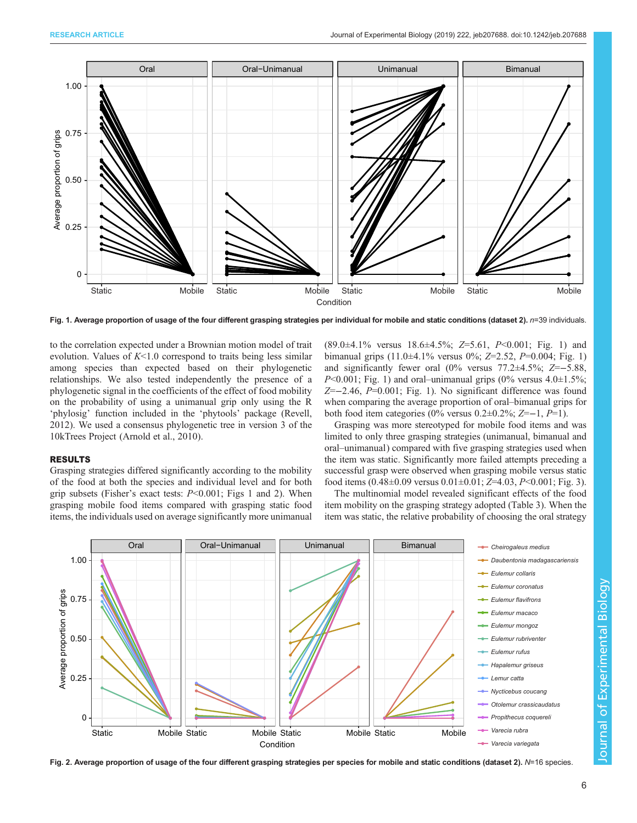<span id="page-5-0"></span>

Fig. 1. Average proportion of usage of the four different grasping strategies per individual for mobile and static conditions (dataset 2).  $n=39$  individuals.

to the correlation expected under a Brownian motion model of trait evolution. Values of  $K<1.0$  correspond to traits being less similar among species than expected based on their phylogenetic relationships. We also tested independently the presence of a phylogenetic signal in the coefficients of the effect of food mobility on the probability of using a unimanual grip only using the R 'phylosig' function included in the 'phytools' package [\(Revell,](#page-9-0) [2012](#page-9-0)). We used a consensus phylogenetic tree in version 3 of the 10kTrees Project ([Arnold et al., 2010\)](#page-8-0).

#### RESULTS

Grasping strategies differed significantly according to the mobility of the food at both the species and individual level and for both grip subsets (Fisher's exact tests:  $P<0.001$ ; Figs 1 and 2). When grasping mobile food items compared with grasping static food items, the individuals used on average significantly more unimanual (89.0±4.1% versus 18.6±4.5%; Z=5.61, P<0.001; Fig. 1) and bimanual grips  $(11.0\pm4.1\%$  versus 0%; Z=2.52, P=0.004; Fig. 1) and significantly fewer oral (0% versus 77.2±4.5%; Z=−5.88,  $P<0.001$ ; Fig. 1) and oral–unimanual grips (0% versus 4.0±1.5%; Z=−2.46, P=0.001; Fig. 1). No significant difference was found when comparing the average proportion of oral–bimanual grips for both food item categories (0% versus 0.2±0.2%; Z=−1, P=1).

Grasping was more stereotyped for mobile food items and was limited to only three grasping strategies (unimanual, bimanual and oral–unimanual) compared with five grasping strategies used when the item was static. Significantly more failed attempts preceding a successful grasp were observed when grasping mobile versus static food items  $(0.48\pm0.09 \text{ versus } 0.01\pm0.01; Z=4.03, P<0.001; Fig. 3).$  $(0.48\pm0.09 \text{ versus } 0.01\pm0.01; Z=4.03, P<0.001; Fig. 3).$  $(0.48\pm0.09 \text{ versus } 0.01\pm0.01; Z=4.03, P<0.001; Fig. 3).$ 

The multinomial model revealed significant effects of the food item mobility on the grasping strategy adopted ([Table 3\)](#page-4-0). When the item was static, the relative probability of choosing the oral strategy



Fig. 2. Average proportion of usage of the four different grasping strategies per species for mobile and static conditions (dataset 2). N=16 species.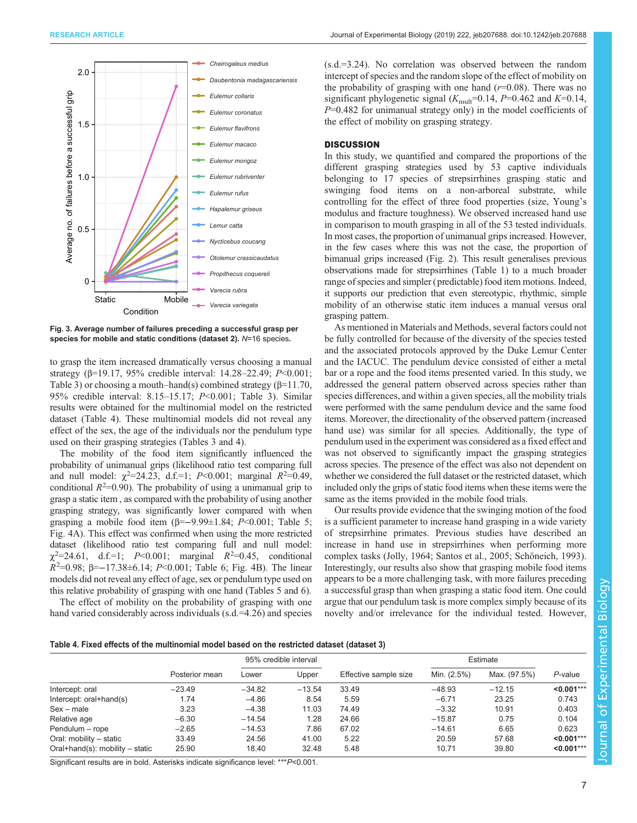<span id="page-6-0"></span>



Fig. 3. Average number of failures preceding a successful grasp per species for mobile and static conditions (dataset 2). N=16 species.

to grasp the item increased dramatically versus choosing a manual strategy (β=19.17, 95% credible interval: 14.28–22.49; P<0.001; [Table 3](#page-4-0)) or choosing a mouth–hand(s) combined strategy ( $\beta$ =11.70, 95% credible interval: 8.15–15.17; P<0.001; [Table 3](#page-4-0)). Similar results were obtained for the multinomial model on the restricted dataset (Table 4). These multinomial models did not reveal any effect of the sex, the age of the individuals nor the pendulum type used on their grasping strategies [\(Tables 3](#page-4-0) and 4).

The mobility of the food item significantly influenced the probability of unimanual grips (likelihood ratio test comparing full and null model:  $\chi^2$ =24.23, d.f.=1; P<0.001; marginal  $R^2$ =0.49, conditional  $R^2=0.90$ ). The probability of using a unimanual grip to grasp a static item , as compared with the probability of using another grasping strategy, was significantly lower compared with when grasping a mobile food item  $(\beta=-9.99\pm1.84; P<0.001;$  [Table 5](#page-7-0); [Fig. 4](#page-7-0)A). This effect was confirmed when using the more restricted dataset (likelihood ratio test comparing full and null model:  $\chi^2$ =24.61, d.f.=1; P<0.001; marginal  $R^2$ =0.45, conditional  $\hat{R}^2 = 0.98$ ;  $\beta = -17.38 \pm 6.14$ ;  $P < 0.001$ ; [Table 6](#page-8-0); [Fig. 4](#page-7-0)B). The linear models did not reveal any effect of age, sex or pendulum type used on this relative probability of grasping with one hand [\(Tables 5](#page-7-0) and [6](#page-8-0)).

The effect of mobility on the probability of grasping with one hand varied considerably across individuals (s.d.=4.26) and species

(s.d.=3.24). No correlation was observed between the random intercept of species and the random slope of the effect of mobility on the probability of grasping with one hand  $(r=0.08)$ . There was no significant phylogenetic signal  $(K_{\text{mult}}=0.14, P=0.462$  and  $K=0.14,$  $P=0.482$  for unimanual strategy only) in the model coefficients of the effect of mobility on grasping strategy.

#### **DISCUSSION**

In this study, we quantified and compared the proportions of the different grasping strategies used by 53 captive individuals belonging to 17 species of strepsirrhines grasping static and swinging food items on a non-arboreal substrate, while controlling for the effect of three food properties (size, Young's modulus and fracture toughness). We observed increased hand use in comparison to mouth grasping in all of the 53 tested individuals. In most cases, the proportion of unimanual grips increased. However, in the few cases where this was not the case, the proportion of bimanual grips increased [\(Fig. 2\)](#page-5-0). This result generalises previous observations made for strepsirrhines [\(Table 1\)](#page-1-0) to a much broader range of species and simpler (predictable) food item motions. Indeed, it supports our prediction that even stereotypic, rhythmic, simple mobility of an otherwise static item induces a manual versus oral grasping pattern.

As mentioned in Materials and Methods, several factors could not be fully controlled for because of the diversity of the species tested and the associated protocols approved by the Duke Lemur Center and the IACUC. The pendulum device consisted of either a metal bar or a rope and the food items presented varied. In this study, we addressed the general pattern observed across species rather than species differences, and within a given species, all the mobility trials were performed with the same pendulum device and the same food items. Moreover, the directionality of the observed pattern (increased hand use) was similar for all species. Additionally, the type of pendulum used in the experiment was considered as a fixed effect and was not observed to significantly impact the grasping strategies across species. The presence of the effect was also not dependent on whether we considered the full dataset or the restricted dataset, which included only the grips of static food items when these items were the same as the items provided in the mobile food trials.

Our results provide evidence that the swinging motion of the food is a sufficient parameter to increase hand grasping in a wide variety of strepsirrhine primates. Previous studies have described an increase in hand use in strepsirrhines when performing more complex tasks ([Jolly, 1964; Santos et al., 2005; Schöneich, 1993\)](#page-9-0). Interestingly, our results also show that grasping mobile food items appears to be a more challenging task, with more failures preceding a successful grasp than when grasping a static food item. One could argue that our pendulum task is more complex simply because of its novelty and/or irrelevance for the individual tested. However,

| Table 4. Fixed effects of the multinomial model based on the restricted dataset (dataset 3) |  |  |
|---------------------------------------------------------------------------------------------|--|--|
|---------------------------------------------------------------------------------------------|--|--|

|                                 |                |          | 95% credible interval |                       |             | Estimate     |              |
|---------------------------------|----------------|----------|-----------------------|-----------------------|-------------|--------------|--------------|
|                                 | Posterior mean | Lower    | Upper                 | Effective sample size | Min. (2.5%) | Max. (97.5%) | P-value      |
| Intercept: oral                 | $-23.49$       | $-34.82$ | $-13.54$              | 33.49                 | $-48.93$    | $-12.15$     | $< 0.001***$ |
| Intercept: oral+hand(s)         | 1.74           | $-4.86$  | 8.54                  | 5.59                  | $-6.71$     | 23.25        | 0.743        |
| $Sex - male$                    | 3.23           | $-4.38$  | 11.03                 | 74.49                 | $-3.32$     | 10.91        | 0.403        |
| Relative age                    | $-6.30$        | $-14.54$ | 1.28                  | 24.66                 | $-15.87$    | 0.75         | 0.104        |
| Pendulum - rope                 | $-2.65$        | $-14.53$ | 7.86                  | 67.02                 | $-14.61$    | 6.65         | 0.623        |
| Oral: mobility - static         | 33.49          | 24.56    | 41.00                 | 5.22                  | 20.59       | 57.68        | $< 0.001***$ |
| Oral+hand(s): mobility – static | 25.90          | 18.40    | 32.48                 | 5.48                  | 10.71       | 39.80        | $< 0.001***$ |

Significant results are in bold. Asterisks indicate significance level: \*\*\*P<0.001.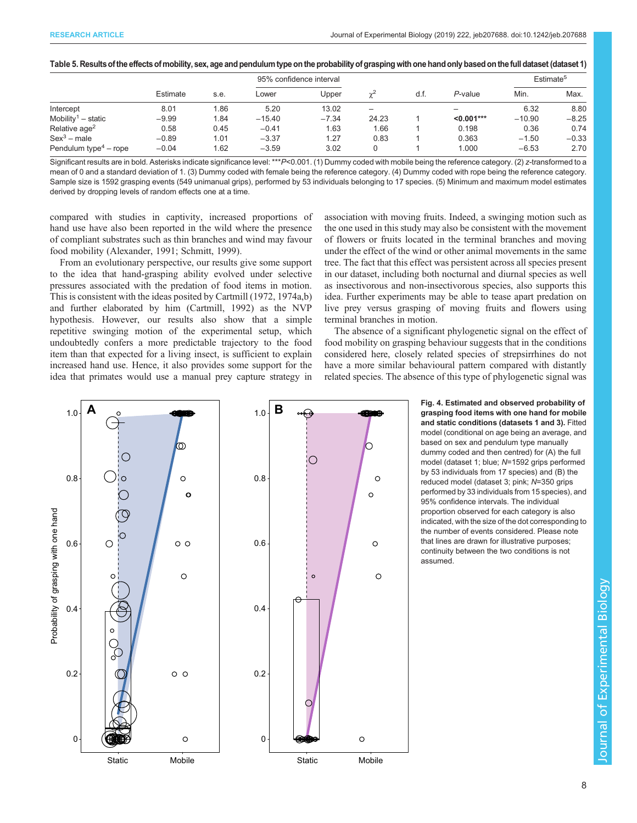<span id="page-7-0"></span>

|  | Table 5. Results of the effects of mobility, sex, age and pendulum type on the probability of grasping with one hand only based on the full dataset (dataset 1) |  |  |  |  |
|--|-----------------------------------------------------------------------------------------------------------------------------------------------------------------|--|--|--|--|
|--|-----------------------------------------------------------------------------------------------------------------------------------------------------------------|--|--|--|--|

|                                   |          |      | 95% confidence interval |         |                          |      |              | Estimate <sup>5</sup> |         |
|-----------------------------------|----------|------|-------------------------|---------|--------------------------|------|--------------|-----------------------|---------|
|                                   | Estimate | s.e. | Lower                   | Upper   | $\sim$                   | d.f. | P-value      | Min.                  | Max.    |
| Intercept                         | 8.01     | 1.86 | 5.20                    | 13.02   | $\overline{\phantom{0}}$ |      | -            | 6.32                  | 8.80    |
| Mobility <sup>1</sup> – static    | $-9.99$  | 1.84 | $-15.40$                | $-7.34$ | 24.23                    |      | $< 0.001***$ | $-10.90$              | $-8.25$ |
| Relative age <sup>2</sup>         | 0.58     | 0.45 | $-0.41$                 | 1.63    | 1.66                     |      | 0.198        | 0.36                  | 0.74    |
| Sex <sup>3</sup> – male           | $-0.89$  | 1.01 | $-3.37$                 | 1.27    | 0.83                     |      | 0.363        | $-1.50$               | $-0.33$ |
| Pendulum type <sup>4</sup> – rope | $-0.04$  | 1.62 | $-3.59$                 | 3.02    |                          |      | 1.000        | $-6.53$               | 2.70    |

Significant results are in bold. Asterisks indicate significance level: \*\*\*P<0.001. (1) Dummy coded with mobile being the reference category. (2) z-transformed to a mean of 0 and a standard deviation of 1. (3) Dummy coded with female being the reference category. (4) Dummy coded with rope being the reference category. Sample size is 1592 grasping events (549 unimanual grips), performed by 53 individuals belonging to 17 species. (5) Minimum and maximum model estimates derived by dropping levels of random effects one at a time.

compared with studies in captivity, increased proportions of hand use have also been reported in the wild where the presence of compliant substrates such as thin branches and wind may favour food mobility ([Alexander, 1991;](#page-8-0) [Schmitt, 1999](#page-9-0)).

From an evolutionary perspective, our results give some support to the idea that hand-grasping ability evolved under selective pressures associated with the predation of food items in motion. This is consistent with the ideas posited by [Cartmill \(1972](#page-9-0), [1974a,b\)](#page-9-0) and further elaborated by him ([Cartmill, 1992](#page-9-0)) as the NVP hypothesis. However, our results also show that a simple repetitive swinging motion of the experimental setup, which undoubtedly confers a more predictable trajectory to the food item than that expected for a living insect, is sufficient to explain increased hand use. Hence, it also provides some support for the idea that primates would use a manual prey capture strategy in

association with moving fruits. Indeed, a swinging motion such as the one used in this study may also be consistent with the movement of flowers or fruits located in the terminal branches and moving under the effect of the wind or other animal movements in the same tree. The fact that this effect was persistent across all species present in our dataset, including both nocturnal and diurnal species as well as insectivorous and non-insectivorous species, also supports this idea. Further experiments may be able to tease apart predation on live prey versus grasping of moving fruits and flowers using terminal branches in motion.

The absence of a significant phylogenetic signal on the effect of food mobility on grasping behaviour suggests that in the conditions considered here, closely related species of strepsirrhines do not have a more similar behavioural pattern compared with distantly related species. The absence of this type of phylogenetic signal was



**B B Fig. 4.** Estimated and observed probability of grasping food items with one hand for mobile and static conditions (datasets 1 and 3). Fitted model (conditional on age being an average, and based on sex and pendulum type manually dummy coded and then centred) for (A) the full model (dataset 1; blue; N=1592 grips performed by 53 individuals from 17 species) and (B) the reduced model (dataset 3; pink; N=350 grips performed by 33 individuals from 15 species), and 95% confidence intervals. The individual proportion observed for each category is also indicated, with the size of the dot corresponding to the number of events considered. Please note that lines are drawn for illustrative purposes; continuity between the two conditions is not assumed.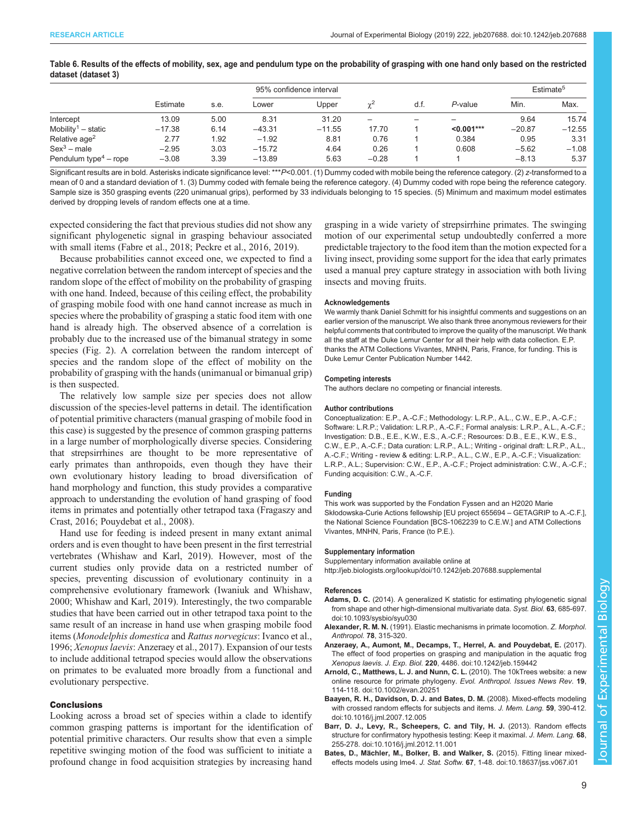#### <span id="page-8-0"></span>Table 6. Results of the effects of mobility, sex, age and pendulum type on the probability of grasping with one hand only based on the restricted dataset (dataset 3)

|                                |          |      |          | 95% confidence interval |                          |      |              |          | Estimate <sup>5</sup> |
|--------------------------------|----------|------|----------|-------------------------|--------------------------|------|--------------|----------|-----------------------|
|                                | Estimate | s.e. | Lower    | Upper                   | γ←                       | d.f. | P-value      | Min.     | Max.                  |
| Intercept                      | 13.09    | 5.00 | 8.31     | 31.20                   | $\overline{\phantom{0}}$ | -    |              | 9.64     | 15.74                 |
| Mobility <sup>1</sup> – static | $-17.38$ | 6.14 | $-43.31$ | $-11.55$                | 17.70                    |      | $< 0.001***$ | $-20.87$ | $-12.55$              |
| Relative age <sup>2</sup>      | 2.77     | 1.92 | $-1.92$  | 8.81                    | 0.76                     |      | 0.384        | 0.95     | 3.31                  |
| Sex <sup>3</sup> – male        | $-2.95$  | 3.03 | $-15.72$ | 4.64                    | 0.26                     |      | 0.608        | $-5.62$  | $-1.08$               |
| Pendulum type $4$ – rope       | $-3.08$  | 3.39 | $-13.89$ | 5.63                    | $-0.28$                  |      |              | $-8.13$  | 5.37                  |

Significant results are in bold. Asterisks indicate significance level: \*\*\*P<0.001. (1) Dummy coded with mobile being the reference category. (2) z-transformed to a mean of 0 and a standard deviation of 1. (3) Dummy coded with female being the reference category. (4) Dummy coded with rope being the reference category. Sample size is 350 grasping events (220 unimanual grips), performed by 33 individuals belonging to 15 species. (5) Minimum and maximum model estimates derived by dropping levels of random effects one at a time.

expected considering the fact that previous studies did not show any significant phylogenetic signal in grasping behaviour associated with small items [\(Fabre et al., 2018; Peckre et al., 2016](#page-9-0), [2019](#page-9-0)).

Because probabilities cannot exceed one, we expected to find a negative correlation between the random intercept of species and the random slope of the effect of mobility on the probability of grasping with one hand. Indeed, because of this ceiling effect, the probability of grasping mobile food with one hand cannot increase as much in species where the probability of grasping a static food item with one hand is already high. The observed absence of a correlation is probably due to the increased use of the bimanual strategy in some species [\(Fig. 2](#page-5-0)). A correlation between the random intercept of species and the random slope of the effect of mobility on the probability of grasping with the hands (unimanual or bimanual grip) is then suspected.

The relatively low sample size per species does not allow discussion of the species-level patterns in detail. The identification of potential primitive characters (manual grasping of mobile food in this case) is suggested by the presence of common grasping patterns in a large number of morphologically diverse species. Considering that strepsirrhines are thought to be more representative of early primates than anthropoids, even though they have their own evolutionary history leading to broad diversification of hand morphology and function, this study provides a comparative approach to understanding the evolution of hand grasping of food items in primates and potentially other tetrapod taxa [\(Fragaszy and](#page-9-0) [Crast, 2016; Pouydebat et al., 2008\)](#page-9-0).

Hand use for feeding is indeed present in many extant animal orders and is even thought to have been present in the first terrestrial vertebrates ([Whishaw and Karl, 2019\)](#page-9-0). However, most of the current studies only provide data on a restricted number of species, preventing discussion of evolutionary continuity in a comprehensive evolutionary framework [\(Iwaniuk and Whishaw,](#page-9-0) [2000](#page-9-0); [Whishaw and Karl, 2019](#page-9-0)). Interestingly, the two comparable studies that have been carried out in other tetrapod taxa point to the same result of an increase in hand use when grasping mobile food items (Monodelphis domestica and Rattus norvegicus: [Ivanco et al.,](#page-9-0) [1996](#page-9-0); Xenopus laevis: Anzeraey et al., 2017). Expansion of our tests to include additional tetrapod species would allow the observations on primates to be evaluated more broadly from a functional and evolutionary perspective.

#### **Conclusions**

Looking across a broad set of species within a clade to identify common grasping patterns is important for the identification of potential primitive characters. Our results show that even a simple repetitive swinging motion of the food was sufficient to initiate a profound change in food acquisition strategies by increasing hand

grasping in a wide variety of strepsirrhine primates. The swinging motion of our experimental setup undoubtedly conferred a more predictable trajectory to the food item than the motion expected for a living insect, providing some support for the idea that early primates used a manual prey capture strategy in association with both living insects and moving fruits.

#### Acknowledgements

We warmly thank Daniel Schmitt for his insightful comments and suggestions on an earlier version of the manuscript. We also thank three anonymous reviewers for their helpful comments that contributed to improve the quality of the manuscript. We thank all the staff at the Duke Lemur Center for all their help with data collection. E.P. thanks the ATM Collections Vivantes, MNHN, Paris, France, for funding. This is Duke Lemur Center Publication Number 1442.

#### Competing interests

The authors declare no competing or financial interests.

#### Author contributions

Conceptualization: E.P., A.-C.F.; Methodology: L.R.P., A.L., C.W., E.P., A.-C.F.; Software: L.R.P.; Validation: L.R.P., A.-C.F.; Formal analysis: L.R.P., A.L., A.-C.F.; Investigation: D.B., E.E., K.W., E.S., A.-C.F.; Resources: D.B., E.E., K.W., E.S., C.W., E.P., A.-C.F.; Data curation: L.R.P., A.L.; Writing - original draft: L.R.P., A.L., A.-C.F.; Writing - review & editing: L.R.P., A.L., C.W., E.P., A.-C.F.; Visualization: L.R.P., A.L.; Supervision: C.W., E.P., A.-C.F.; Project administration: C.W., A.-C.F.; Funding acquisition: C.W., A.-C.F.

#### Funding

This work was supported by the Fondation Fyssen and an H2020 Marie Skłodowska-Curie Actions fellowship [EU project 655694 – GETAGRIP to A.-C.F.], the National Science Foundation [BCS-1062239 to C.E.W.] and ATM Collections Vivantes, MNHN, Paris, France (to P.E.).

#### Supplementary information

Supplementary information available online at <http://jeb.biologists.org/lookup/doi/10.1242/jeb.207688.supplemental>

#### References

- Adams, D. C. [\(2014\). A generalized K statistic for estimating phylogenetic signal](https://doi.org/10.1093/sysbio/syu030) [from shape and other high-dimensional multivariate data.](https://doi.org/10.1093/sysbio/syu030) Syst. Biol. 63, 685-697. [doi:10.1093/sysbio/syu030](https://doi.org/10.1093/sysbio/syu030)
- Alexander, R. M. N. (1991). Elastic mechanisms in primate locomotion. Z. Morphol. Anthropol. 78, 315-320.
- [Anzeraey, A., Aumont, M., Decamps, T., Herrel, A. and Pouydebat, E.](https://doi.org/10.1242/jeb.159442) (2017). [The effect of food properties on grasping and manipulation in the aquatic frog](https://doi.org/10.1242/jeb.159442) Xenopus laevis. J. Exp. Biol. 220[, 4486. doi:10.1242/jeb.159442](https://doi.org/10.1242/jeb.159442)
- [Arnold, C., Matthews, L. J. and Nunn, C. L.](https://doi.org/10.1002/evan.20251) (2010). The 10kTrees website: a new [online resource for primate phylogeny.](https://doi.org/10.1002/evan.20251) Evol. Anthropol. Issues News Rev. 19, [114-118. doi:10.1002/evan.20251](https://doi.org/10.1002/evan.20251)
- [Baayen, R. H., Davidson, D. J. and Bates, D. M.](https://doi.org/10.1016/j.jml.2007.12.005) (2008). Mixed-effects modeling [with crossed random effects for subjects and items.](https://doi.org/10.1016/j.jml.2007.12.005) J. Mem. Lang. 59, 390-412. [doi:10.1016/j.jml.2007.12.005](https://doi.org/10.1016/j.jml.2007.12.005)
- [Barr, D. J., Levy, R., Scheepers, C. and Tily, H. J.](https://doi.org/10.1016/j.jml.2012.11.001) (2013). Random effects [structure for confirmatory hypothesis testing: Keep it maximal.](https://doi.org/10.1016/j.jml.2012.11.001) J. Mem. Lang. 68, [255-278. doi:10.1016/j.jml.2012.11.001](https://doi.org/10.1016/j.jml.2012.11.001)
- Bates, D., Mä[chler, M., Bolker, B. and Walker, S.](https://doi.org/10.18637/jss.v067.i01) (2015). Fitting linear mixedeffects models using lme4. J. Stat. Softw. 67[, 1-48. doi:10.18637/jss.v067.i01](https://doi.org/10.18637/jss.v067.i01)